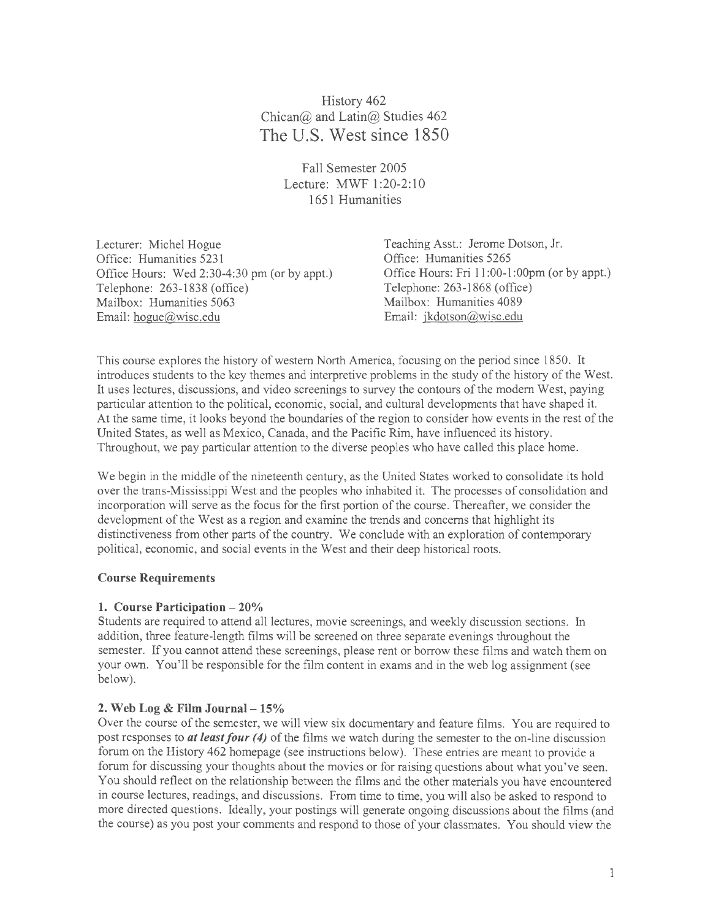History 462 Chican@ and Latin@ Studies 462 **The U.S. West since 1850** 

> Fall Semester 2005 Lecture: MWF 1:20-2:10 1651 Humanities

Lecturer: Michel Hogue Office: Humanities 5231 Office Hours: Wed 2:30-4:30 pm (or by appt.) Telephone: 263-1838 (office) Mailbox: Humanities 5063 Mailbox: Humanities 4089 Email: hogue@wisc.edu Email: jkdotson@wisc.edu

Teaching Asst.: Jerome Dotson, Jr. Office: Humanities 5265 Office Hours: Fri 11:00-1 :OOpm (or by appt.) Telephone: 263-1868 (office)

This course explores the history of western North America, focusing on the period since 1850. It introduces students to the key themes and interpretive problems in the study of the history of the West. It uses lectures, discussions, and video screenings to survey the contours of the modem West, paying particular attention to the political, economic, social, and cultural developments that have shaped it. At the same time, it looks beyond the boundaries of the region to consider how events in the rest of the United States, as well as Mexico, Canada, and the Pacific Rim, have influenced its history. Throughout, we pay particular attention to the diverse peoples who have called this place home.

We begin in the middle of the nineteenth century, as the United States worked to consolidate its hold over the trans-Mississippi West and the peoples who inhabited it. The processes of consolidation and incorporation will serve as the focus for the first portion of the course. Thereafter, we consider the development of the West as a region and examine the trends and concerns that highlight its distinctiveness from other parts of the country. We conclude with an exploration of contemporary political, economic, and social events in the West and their deep historical roots.

## **Course Requirements**

## **1. Course Participation - 20%**

Students are required to attend all lectures, movie screenings, and weekly discussion sections. In addition, three feature-length films will be screened on three separate evenings throughout the semester. If you cannot attend these screenings, please rent or borrow these films and watch them on your own. You'll be responsible for the film content in exams and in the web log assignment (see below).

## **2. Web Log & Film Journal- 15%**

Over the course of the semester, we will view six documentary and feature films. You are required to post responses to *at least four (4)* of the films we watch during the semester to the on-line discussion forum on the History 462 homepage (see instructions below). These entries are meant to provide a forum for discussing your thoughts about the movies or for raising questions about what you've seen. You should reflect on the relationship between the films and the other materials you have encountered in course lectures, readings, and discussions. From time to time, you will also be asked to respond to more directed questions. Ideally, your postings will generate ongoing discussions about the films (and the course) as you post your comments and respond to those of your classmates. You should view the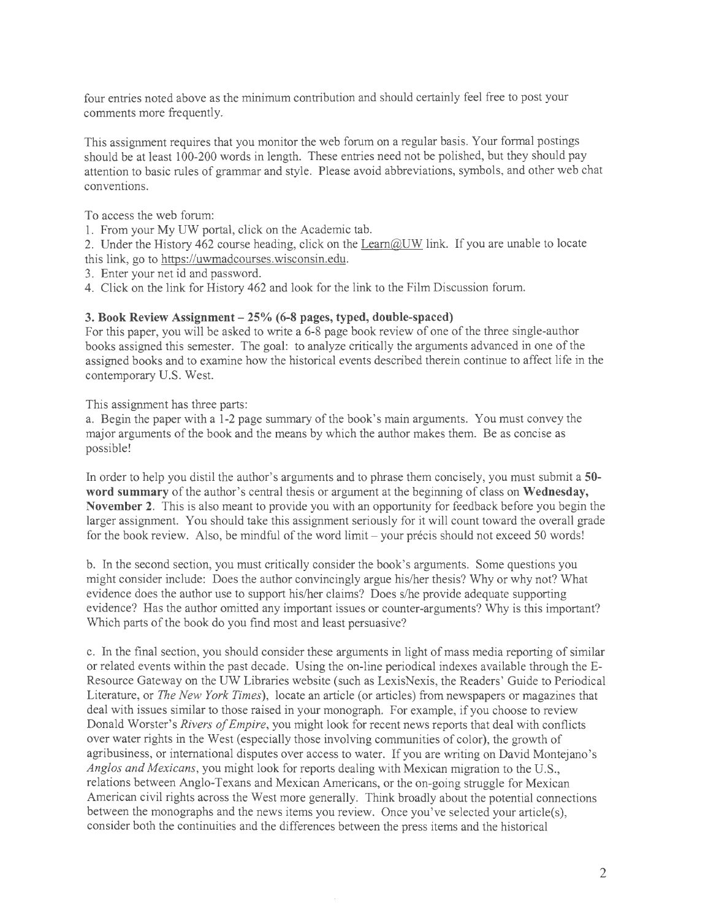four entries noted above as the minimum contribution and should certainly feel free to post your comments more frequently.

This assignment requires that you monitor the web forum on a regular basis. Your formal postings should be at least 100-200 words in length. These entries need not be polished, but they should pay attention to basic rules of grammar and style. Please avoid abbreviations, symbols, and other web chat conventions.

To access the web forum:

- 1. From your My UW portal, click on the Academic tab.
- 2. Under the History 462 course heading, click on the Learn@UW link. If you are unable to locate this link, go to https://uwmadcourses.wisconsin.edu.
- 3. Enter your net id and password.
- 4. Click on the link for History 462 and look for the link to the Film Discussion forum.

## **3. Book Review Assignment- 25% (6-8 pages, typed, double-spaced)**

For this paper, you will be asked to write a 6-8 page book review of one of the three single-author books assigned this semester. The goal: to analyze critically the arguments advanced in one of the assigned books and to examine how the historical events described therein continue to affect life in the contemporary U.S. West.

This assignment has three parts:

a. Begin the paper with a 1-2 page summary of the book's main arguments. You must convey the major arguments of the book and the means by which the author makes them. Be as concise as possible!

In order to help you distil the author's arguments and to phrase them concisely, you must submit a **50 word summary** of the author's central thesis or argument at the beginning of class on **Wednesday, November 2.** This is also meant to provide you with an opportunity for feedback before you begin the larger assignment. You should take this assignment seriously for it will count toward the overall grade for the book review. Also, be mindful of the word limit- your precis should not exceed 50 words!

b. In the second section, you must critically consider the book's arguments. Some questions you might consider include: Does the author convincingly argue his/her thesis? Why or why not? What evidence does the author use to support his/her claims? Does s/he provide adequate supporting evidence? Has the author omitted any important issues or counter-arguments? Why is this important? Which parts of the book do you find most and least persuasive?

c. In the final section, you should consider these arguments in light of mass media reporting of similar or related events within the past decade. Using the on-line periodical indexes available through the£- Resource Gateway on the UW Libraries website (such as LexisNexis, the Readers' Guide to Periodical Literature, or *The New York Times),* locate an article (or articles) from newspapers or magazines that deal with issues similar to those raised in your monograph. For example, if you choose to review Donald Worster's *Rivers of Empire,* you might look for recent news reports that deal with conflicts over water rights in the West (especially those involving communities of color), the growth of agribusiness, or international disputes over access to water. If you are writing on David Montejano's *Anglos and Mexicans,* you might look for reports dealing with Mexican migration to the U.S., relations between Anglo-Texans and Mexican Americans, or the on-going struggle for Mexican American civil rights across the West more generally. Think broadly about the potential connections between the monographs and the news items you review. Once you've selected your article(s), consider both the continuities and the differences between the press items and the historical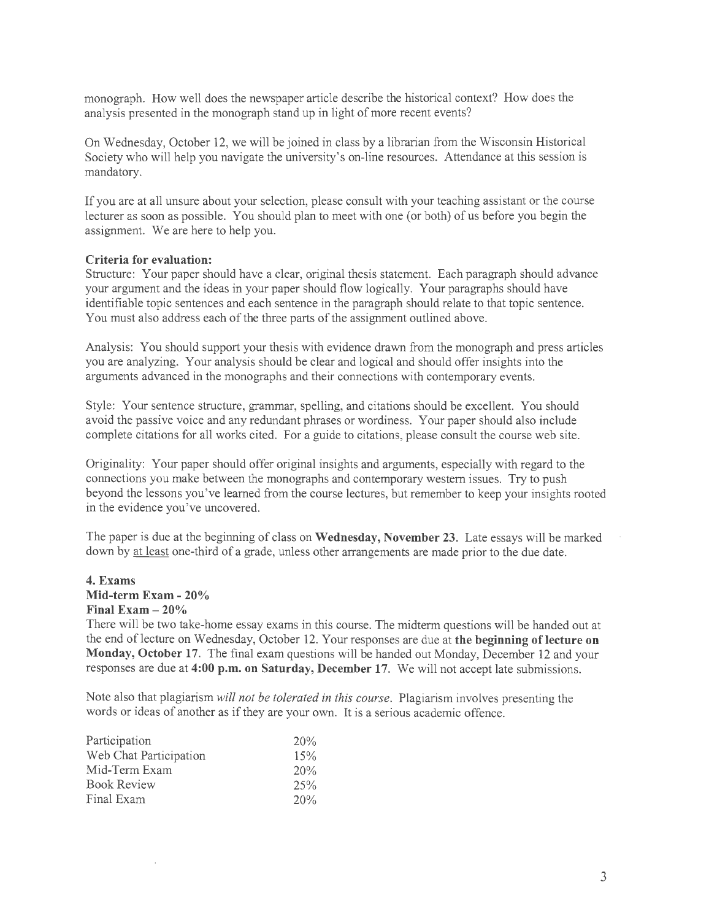monograph. How well does the newspaper article describe the historical context? How does the analysis presented in the monograph stand up in light of more recent events?

On Wednesday, October 12, we will be joined in class by a librarian from the Wisconsin Historical Society who will help you navigate the university's on-line resources. Attendance at this session is mandatory.

If you are at all unsure about your selection, please consult with your teaching assistant or the course lecturer as soon as possible. You should plan to meet with one (or both) of us before you begin the assignment. We are here to help you.

### **Criteria for evaluation:**

Structure: Your paper should have a clear, original thesis statement. Each paragraph should advance your argument and the ideas in your paper should flow logically. Your paragraphs should have identifiable topic sentences and each sentence in the paragraph should relate to that topic sentence. You must also address each of the three parts of the assignment outlined above.

Analysis: You should support your thesis with evidence drawn from the monograph and press articles you are analyzing. Your analysis should be clear and logical and should offer insights into the arguments advanced in the monographs and their connections with contemporary events.

Style: Your sentence structure, grammar, spelling, and citations should be excellent. You should avoid the passive voice and any redundant phrases or wordiness. Your paper should also include complete citations for all works cited. For a guide to citations, please consult the course web site.

Originality: Your paper should offer original insights and arguments, especially with regard to the connections you make between the monographs and contemporary western issues. Try to push beyond the lessons you've learned from the course lectures, but remember to keep your insights rooted in the evidence you've uncovered.

The paper is due at the beginning of class on **Wednesday, November 23.** Late essays will be marked down by at least one-third of a grade, unless other arrangements are made prior to the due date.

## **4. Exams Mid-term Exam - 20% Final Exam - 20%**

There will be two take-home essay exams in this course. The midterm questions will be handed out at the end of lecture on Wednesday, October 12. Your responses are due at **the beginning of lecture on Monday, October 17.** The final exam questions will be handed out Monday, December 12 and your responses are due at **4:00 p.m. on Saturday, December 17.** We will not accept late submissions.

Note also that plagiarism *will not be tolerated in this course.* Plagiarism involves presenting the words or ideas of another as if they are your own. It is a serious academic offence.

| Participation          | 20%     |
|------------------------|---------|
| Web Chat Participation | 15%     |
| Mid-Term Exam          | 20%     |
| <b>Book Review</b>     | $2.5\%$ |
| Final Exam             | 20%     |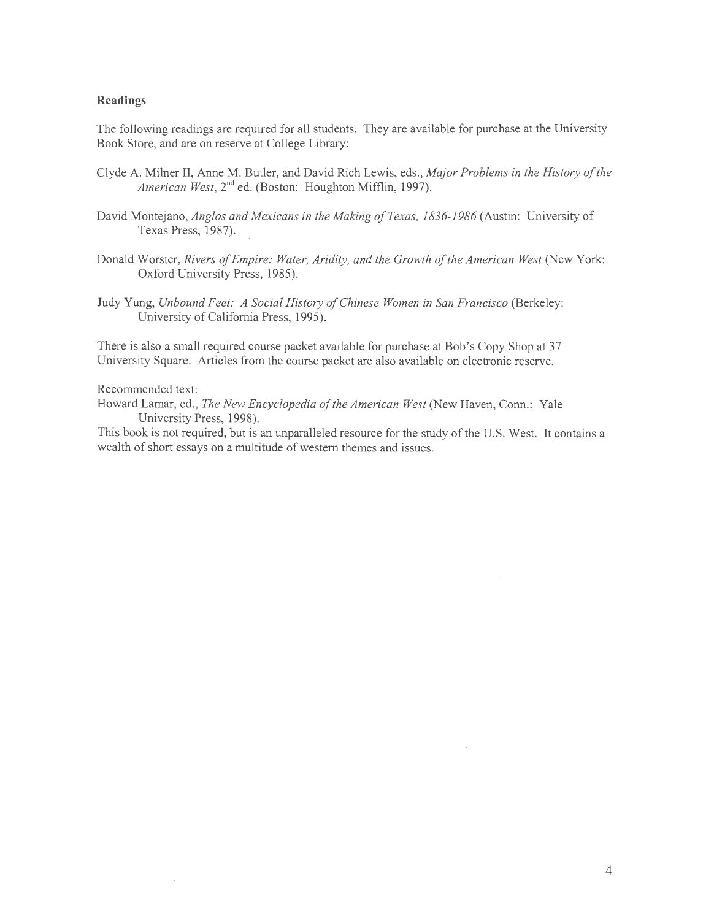### **Readings**

The following readings are required for all students. They are available for purchase at the University Book Store, and are on reserve at College Library:

- Clyde A. Milner II, Anne M. Butler, and David Rich Lewis, eds., *Major Problems in the History of the American West,* 2<sup>nd</sup> ed. (Boston: Houghton Mifflin, 1997).
- David Montejano, *Anglos and Mexicans in the Making of Texas, 1836-1986* (Austin: University of Texas Press, 1987).
- Donald Worster, *Rivers of Empire: Water, Aridity, and the Growth of the American West* (New York: Oxford University Press, 1985).
- Judy Yung, *Unbound Feet: A Social History of Chinese Women in San Francisco* (Berkeley: University of California Press, 1995).

There is also a small required course packet available for purchase at Bob's Copy Shop at 37 University Square. Articles from the course packet are also available on electronic reserve.

### Recommended text:

Howard Lamar, ed., *The New Encyclopedia of the American West* (New Haven, Conn.: Yale University Press, 1998).

This book is not required, but is an unparalleled resource for the study of the U.S. West. It contains a wealth of short essays on a multitude of western themes and issues.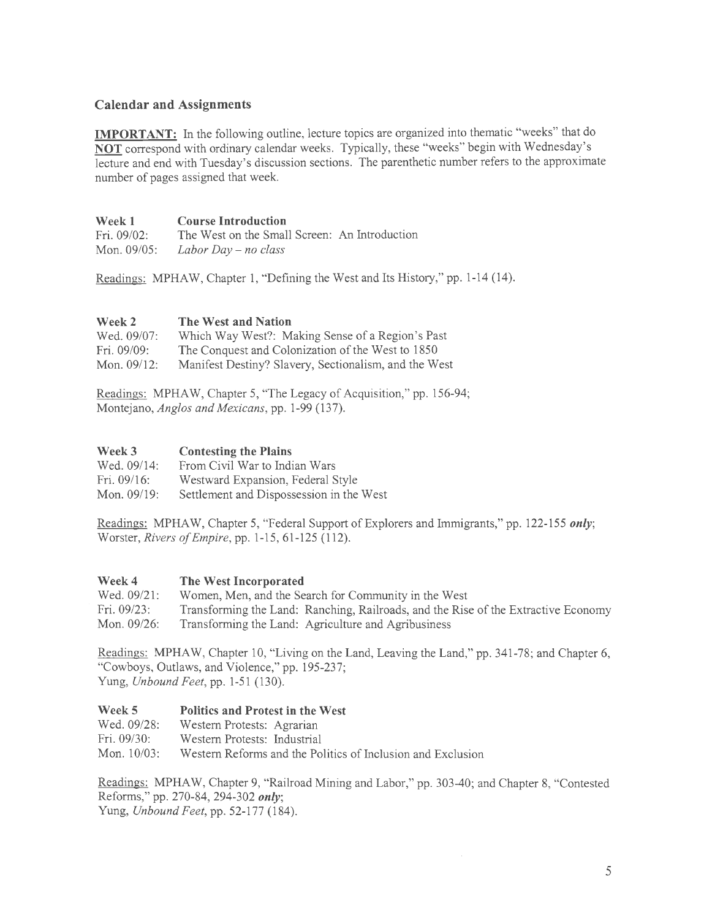# **Calendar and Assignments**

**IMPORTANT:** In the following outline, lecture topics are organized into thematic "weeks" that do **NOT** correspond with ordinary calendar weeks. Typically, these "weeks" begin with Wednesday's lecture and end with Tuesday's discussion sections. The parenthetic number refers to the approximate number of pages assigned that week.

| <b>Week 1</b> | <b>Course Introduction</b>                    |  |  |
|---------------|-----------------------------------------------|--|--|
| Fri. 09/02:   | The West on the Small Screen: An Introduction |  |  |
| Mon. 09/05:   | Labor Day $-$ no class                        |  |  |

Readings: MPHAW, Chapter 1, "Defining the West and Its History," pp. 1-14 (14).

#### **Week2 The West and Nation**

| Wed. 09/07:    | Which Way West?: Making Sense of a Region's Past      |
|----------------|-------------------------------------------------------|
| Fri. $09/09$ : | The Conquest and Colonization of the West to 1850     |
| Mon. $09/12$ : | Manifest Destiny? Slavery, Sectionalism, and the West |

Readings: MPHAW, Chapter 5, "The Legacy of Acquisition," pp. 156-94; Montejano, *Anglos and Mexicans,* pp. 1-99 (137).

#### **Week3 Contesting the Plains**

| Wed. 09/14: | From Civil War to Indian Wars            |
|-------------|------------------------------------------|
| Fri. 09/16: | Westward Expansion, Federal Style        |
| Mon. 09/19: | Settlement and Dispossession in the West |

Readings: MPHAW, Chapter 5, "Federal Support of Explorers and Immigrants," pp. 122-155 *only;*  Worster, *Rivers of Empire,* pp. 1-15, 61-125 (112).

#### **Week4 The West Incorporated**

| Wed. 09/21:<br>Women, Men, and the Search for Community in the West |  |
|---------------------------------------------------------------------|--|
|---------------------------------------------------------------------|--|

Fri. 09/23: Mon. 09/26: Transforming the Land: Ranching, Railroads, and the Rise of the Extractive Economy Transforming the Land: Agriculture and Agribusiness

Readings: MPHAW, Chapter 10, "Living on the Land, Leaving the Land," pp. 341-78; and Chapter 6, "Cowboys, Outlaws, and Violence," pp. 195-237; Yung, *Unbound Feet,* pp. 1-51 (130).

#### Week 5 **Politics and Protest in the West**

| Wed. 09/28:    | Western Protests: Agrarian                                  |
|----------------|-------------------------------------------------------------|
| Fri. $09/30$ : | Western Protests: Industrial                                |
| Mon. $10/03$ : | Western Reforms and the Politics of Inclusion and Exclusion |

Readings: MPHA W, Chapter 9, "Railroad Mining and Labor," pp. 303-40; and Chapter 8, "Contested Reforms," pp. 270-84, 294-302 *only;*  Yung, *Unbound Feet,* pp. 52-177 (184).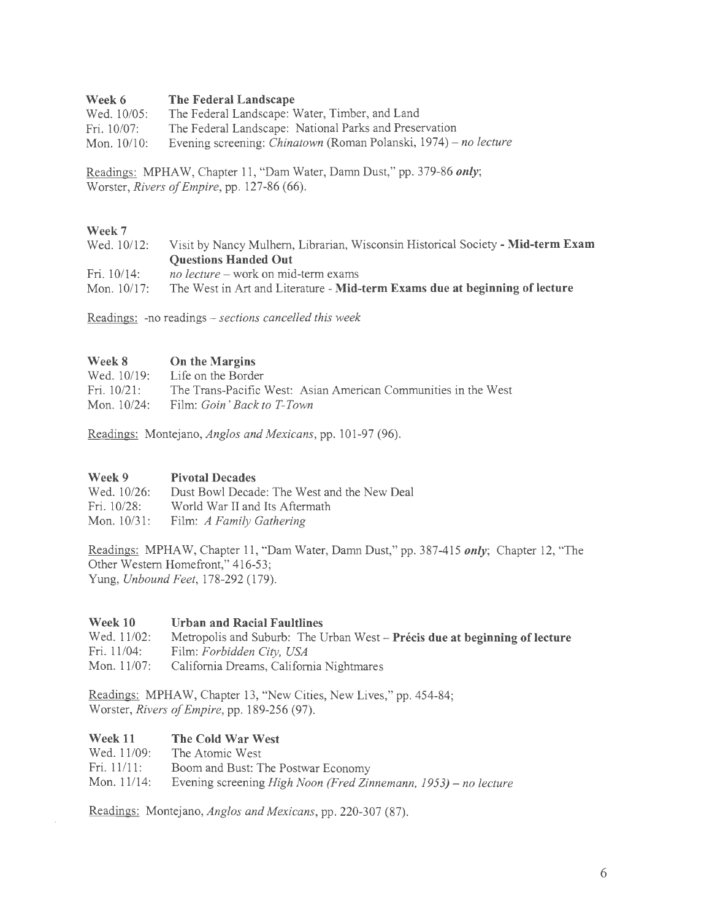#### Week 6 **The Federal Landscape**

| Wed. 10/05:    | The Federal Landscape: Water, Timber, and Land                          |
|----------------|-------------------------------------------------------------------------|
| Fri. 10/07:    | The Federal Landscape: National Parks and Preservation                  |
| Mon. $10/10$ : | Evening screening: <i>Chinatown</i> (Roman Polanski, 1974) – no lecture |

Readings: MPHAW, Chapter 11 , "Dam Water, Damn Dust," pp. 379-86 *only;*  Worster, *Rivers of Empire,* pp. 127-86 (66).

## **Week7**

| Wed. 10/12:    | Visit by Nancy Mulhern, Librarian, Wisconsin Historical Society - Mid-term Exam |
|----------------|---------------------------------------------------------------------------------|
|                | <b>Questions Handed Out</b>                                                     |
| Fri. $10/14$ : | <i>no lecture</i> – work on mid-term exams                                      |
| Mon. $10/17$ : | The West in Art and Literature - Mid-term Exams due at beginning of lecture     |

Readings: -no readings *- sections cancelled this week* 

| Week 8         | <b>On the Margins</b>                                          |
|----------------|----------------------------------------------------------------|
| Wed. 10/19:    | Life on the Border                                             |
| Fri. $10/21$ : | The Trans-Pacific West: Asian American Communities in the West |
| Mon. $10/24$ : | Film: Goin' Back to T-Town                                     |

Readings: Montejano, *Anglos and Mexicans,* pp. 101-97 (96).

#### **Week9 Pivotal Decades**

| Wed. 10/26: | Dust Bowl Decade: The West and the New Deal |
|-------------|---------------------------------------------|
| Fri. 10/28: | World War II and Its Aftermath              |
|             | Mon. 10/31: Film: A Family Gathering        |

Readings: MPHAW, Chapter 11 , "Dam Water, Damn Dust," pp. 387-415 *only;* Chapter 12, "The Other Western Homefront," 416-53; Yung, *Unbound Feet,* 178-292 (179).

#### **Week 10 Urban and Racial Faultlines**

Wed. 11/02: Fri.  $11/04$ : Mon. 11/07: Metropolis and Suburb: The Urban West- **Precis due at beginning of lecture**  Film: *Forbidden City, USA*  California Dreams, California Nightmares

Readings: MPHAW, Chapter 13, "New Cities, New Lives," pp. 454-84; Worster, *Rivers of Empire,* pp. 189-256 (97).

#### **Week 11 The Cold War West**

Wed. 11/09: Fri.11/11: The Atomic West Boom and Bust: The Postwar Economy

Mon. 11/14: Evening screening *High Noon (Fred Zinnemann, 1953)- no lecture* 

Readings: Montejano, *Anglos and Mexicans,* pp. 220-307 (87).